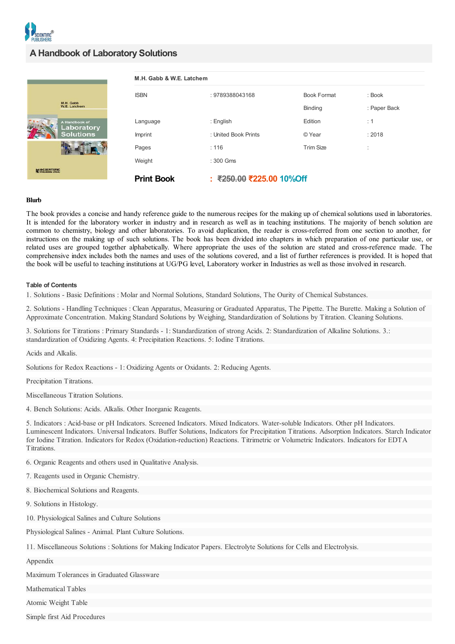

|                             | M.H. Gabb & W.E. Latchem |                          |                    |              |
|-----------------------------|--------------------------|--------------------------|--------------------|--------------|
|                             | <b>ISBN</b>              | : 9789388043168          | <b>Book Format</b> | : Book       |
| M.H. Gabb<br>W.E. Latchem   |                          |                          | Binding            | : Paper Back |
| A Handbook of<br>Laboratory | Language                 | : English                | Edition            | $\div$ 1     |
| <b>Solutions</b>            | Imprint                  | : United Book Prints     | © Year             | : 2018       |
|                             | Pages                    | : 116                    | <b>Trim Size</b>   | ٠<br>٠       |
|                             | Weight                   | : 300 Gms                |                    |              |
| SCIENTIFIC                  | <b>Print Book</b>        | : ₹250.00 ₹225.00 10%Off |                    |              |

## **Blurb**

The book provides a concise and handy reference guide to the numerous recipes for the making up of chemical solutions used in laboratories. It is intended for the laboratory worker in industry and in research as well as in teaching institutions. The majority of bench solution are common to chemistry, biology and other laboratories. To avoid duplication, the reader is cross-referred from one section to another, for instructions on the making up of such solutions. The book has been divided into chapters in which preparation of one particular use, or related uses are grouped together alphabetically. Where appropriate the uses of the solution are stated and cross-reference made. The comprehensive index includes both the names and uses of the solutions covered, and a list of further references is provided. It is hoped that the book will be useful to teaching institutions at UG/PG level, Laboratory worker in Industries as well as those involved in research.

## **Table of Contents**

1. Solutions - Basic Definitions : Molar and Normal Solutions, Standard Solutions, The Ourity of Chemical Substances.

2. Solutions - Handling Techniques : Clean Apparatus, Measuring or Graduated Apparatus, The Pipette. The Burette. Making a Solution of Approximate Concentration. Making Standard Solutions by Weighing, Standardization of Solutions by Titration. Cleaning Solutions.

3. Solutions for Titrations : Primary Standards - 1: Standardization of strong Acids. 2: Standardization of Alkaline Solutions. 3.: standardization of Oxidizing Agents. 4: Precipitation Reactions. 5: Iodine Titrations.

Acids and Alkalis.

Solutions for Redox Reactions - 1: Oxidizing Agents or Oxidants. 2: Reducing Agents.

Precipitation Titrations.

Miscellaneous Titration Solutions.

4. Bench Solutions: Acids. Alkalis. Other Inorganic Reagents.

5. Indicators : Acid-base or pH Indicators. Screened Indicators. Mixed Indicators. Water-soluble Indicators. Other pH Indicators. Luminescent Indicators. Universal Indicators. Buffer Solutions, Indicators for Precipitation Titrations. Adsorption Indicators. Starch Indicator for Iodine Titration. Indicators for Redox (Oxidation-reduction) Reactions. Titrimetric or Volumetric Indicators. Indicators for EDTA Titrations.

6. Organic Reagents and others used in Qualitative Analysis.

7. Reagents used in Organic Chemistry.

8. Biochemical Solutions and Reagents.

9. Solutions in Histology.

10. Physiological Salines and Culture Solutions

Physiological Salines - Animal. Plant Culture Solutions.

11. Miscellaneous Solutions : Solutions for Making Indicator Papers. Electrolyte Solutions for Cells and Electrolysis.

Appendix

Maximum Tolerances in Graduated Glassware

Mathematical Tables

Atomic Weight Table

Simple first Aid Procedures